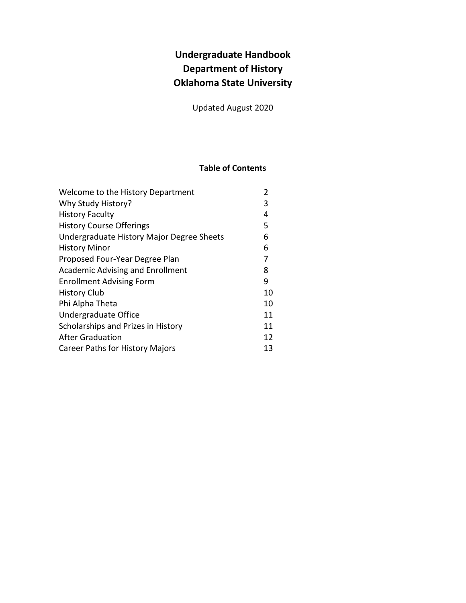# **Undergraduate Handbook Department of History Oklahoma State University**

Updated August 2020

## **Table of Contents**

| Welcome to the History Department         | 2  |
|-------------------------------------------|----|
| Why Study History?                        | 3  |
| <b>History Faculty</b>                    | 4  |
| <b>History Course Offerings</b>           | 5  |
| Undergraduate History Major Degree Sheets | 6  |
| <b>History Minor</b>                      | 6  |
| Proposed Four-Year Degree Plan            | 7  |
| <b>Academic Advising and Enrollment</b>   | 8  |
| <b>Enrollment Advising Form</b>           | 9  |
| <b>History Club</b>                       | 10 |
| Phi Alpha Theta                           | 10 |
| Undergraduate Office                      | 11 |
| Scholarships and Prizes in History        | 11 |
| <b>After Graduation</b>                   | 12 |
| <b>Career Paths for History Majors</b>    | 13 |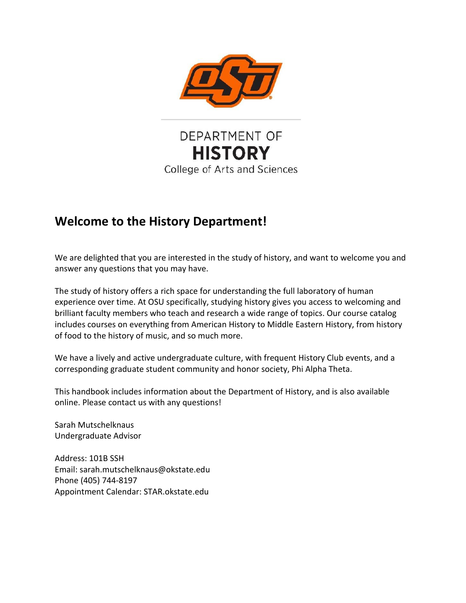

DEPARTMENT OF **HISTORY** College of Arts and Sciences

# **Welcome to the History Department!**

We are delighted that you are interested in the study of history, and want to welcome you and answer any questions that you may have.

The study of history offers a rich space for understanding the full laboratory of human experience over time. At OSU specifically, studying history gives you access to welcoming and brilliant faculty members who teach and research a wide range of topics. Our course catalog includes courses on everything from American History to Middle Eastern History, from history of food to the history of music, and so much more.

We have a lively and active undergraduate culture, with frequent History Club events, and a corresponding graduate student community and honor society, Phi Alpha Theta.

This handbook includes information about the Department of History, and is also available online. Please contact us with any questions!

Sarah Mutschelknaus Undergraduate Advisor

Address: 101B SSH Email: sarah.mutschelknaus@okstate.edu Phone (405) 744-8197 Appointment Calendar: STAR.okstate.edu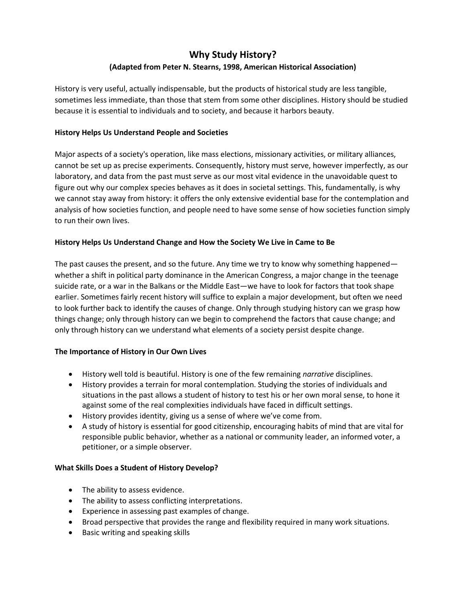# **Why Study History? (Adapted from Peter N. Stearns, 1998, American Historical Association)**

History is very useful, actually indispensable, but the products of historical study are less tangible, sometimes less immediate, than those that stem from some other disciplines. History should be studied because it is essential to individuals and to society, and because it harbors beauty.

#### **History Helps Us Understand People and Societies**

Major aspects of a society's operation, like mass elections, missionary activities, or military alliances, cannot be set up as precise experiments. Consequently, history must serve, however imperfectly, as our laboratory, and data from the past must serve as our most vital evidence in the unavoidable quest to figure out why our complex species behaves as it does in societal settings. This, fundamentally, is why we cannot stay away from history: it offers the only extensive evidential base for the contemplation and analysis of how societies function, and people need to have some sense of how societies function simply to run their own lives.

#### **History Helps Us Understand Change and How the Society We Live in Came to Be**

The past causes the present, and so the future. Any time we try to know why something happened whether a shift in political party dominance in the American Congress, a major change in the teenage suicide rate, or a war in the Balkans or the Middle East—we have to look for factors that took shape earlier. Sometimes fairly recent history will suffice to explain a major development, but often we need to look further back to identify the causes of change. Only through studying history can we grasp how things change; only through history can we begin to comprehend the factors that cause change; and only through history can we understand what elements of a society persist despite change.

#### **The Importance of History in Our Own Lives**

- History well told is beautiful. History is one of the few remaining *narrative* disciplines.
- History provides a terrain for moral contemplation. Studying the stories of individuals and situations in the past allows a student of history to test his or her own moral sense, to hone it against some of the real complexities individuals have faced in difficult settings.
- History provides identity, giving us a sense of where we've come from.
- A study of history is essential for good citizenship, encouraging habits of mind that are vital for responsible public behavior, whether as a national or community leader, an informed voter, a petitioner, or a simple observer.

#### **What Skills Does a Student of History Develop?**

- The ability to assess evidence.
- The ability to assess conflicting interpretations.
- Experience in assessing past examples of change.
- Broad perspective that provides the range and flexibility required in many work situations.
- Basic writing and speaking skills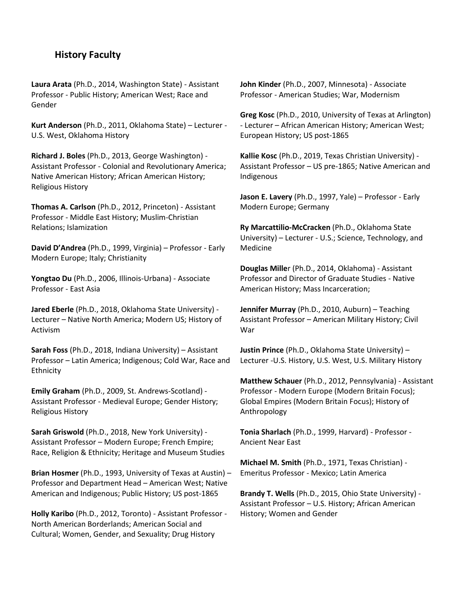### **History Faculty**

**Laura Arata** (Ph.D., 2014, Washington State) - Assistant Professor - Public History; American West; Race and Gender

**Kurt Anderson** (Ph.D., 2011, Oklahoma State) – Lecturer - U.S. West, Oklahoma History

**Richard J. Boles** (Ph.D., 2013, George Washington) - Assistant Professor - Colonial and Revolutionary America; Native American History; African American History; Religious History

**Thomas A. Carlson** (Ph.D., 2012, Princeton) - Assistant Professor - Middle East History; Muslim-Christian Relations; Islamization

**David D'Andrea** (Ph.D., 1999, Virginia) – Professor - Early Modern Europe; Italy; Christianity

**Yongtao Du** (Ph.D., 2006, Illinois-Urbana) - Associate Professor - East Asia

**Jared Eberle** (Ph.D., 2018, Oklahoma State University) - Lecturer – Native North America; Modern US; History of Activism

**Sarah Foss** (Ph.D., 2018, Indiana University) – Assistant Professor – Latin America; Indigenous; Cold War, Race and **Ethnicity** 

**Emily Graham** (Ph.D., 2009, St. Andrews-Scotland) - Assistant Professor - Medieval Europe; Gender History; Religious History

**Sarah Griswold** (Ph.D., 2018, New York University) - Assistant Professor – Modern Europe; French Empire; Race, Religion & Ethnicity; Heritage and Museum Studies

**Brian Hosmer** (Ph.D., 1993, University of Texas at Austin) – Professor and Department Head – American West; Native American and Indigenous; Public History; US post-1865

**Holly Karibo** (Ph.D., 2012, Toronto) - Assistant Professor - North American Borderlands; American Social and Cultural; Women, Gender, and Sexuality; Drug History

**John Kinder** (Ph.D., 2007, Minnesota) - Associate Professor - American Studies; War, Modernism

**Greg Kosc** (Ph.D., 2010, University of Texas at Arlington) - Lecturer – African American History; American West; European History; US post-1865

**Kallie Kosc** (Ph.D., 2019, Texas Christian University) - Assistant Professor – US pre-1865; Native American and Indigenous

**Jason E. Lavery** (Ph.D., 1997, Yale) – Professor - Early Modern Europe; Germany

**Ry Marcattilio-McCracken** (Ph.D., Oklahoma State University) – Lecturer - U.S.; Science, Technology, and Medicine

**Douglas Mille**r (Ph.D., 2014, Oklahoma) - Assistant Professor and Director of Graduate Studies - Native American History; Mass Incarceration;

**Jennifer Murray** (Ph.D., 2010, Auburn) – Teaching Assistant Professor – American Military History; Civil War

**Justin Prince** (Ph.D., Oklahoma State University) – Lecturer -U.S. History, U.S. West, U.S. Military History

**Matthew Schauer** (Ph.D., 2012, Pennsylvania) - Assistant Professor - Modern Europe (Modern Britain Focus); Global Empires (Modern Britain Focus); History of Anthropology

**Tonia Sharlach** (Ph.D., 1999, Harvard) - Professor - Ancient Near East

**Michael M. Smith** (Ph.D., 1971, Texas Christian) - Emeritus Professor - Mexico; Latin America

**Brandy T. Wells** (Ph.D., 2015, Ohio State University) - Assistant Professor – U.S. History; African American History; Women and Gender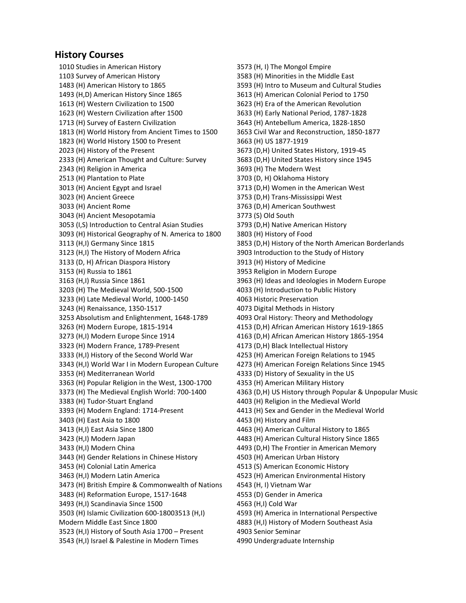### **History Courses**

1010 Studies in American History 1103 Survey of American History 1483 (H) American History to 1865 1493 (H,D) American History Since 1865 1613 (H) Western Civilization to 1500 1623 (H) Western Civilization after 1500 1713 (H) Survey of Eastern Civilization 1813 (H) World History from Ancient Times to 1500 1823 (H) World History 1500 to Present 2023 (H) History of the Present 2333 (H) American Thought and Culture: Survey 2343 (H) Religion in America 2513 (H) Plantation to Plate 3013 (H) Ancient Egypt and Israel 3023 (H) Ancient Greece 3033 (H) Ancient Rome 3043 (H) Ancient Mesopotamia 3053 (I,S) Introduction to Central Asian Studies 3093 (H) Historical Geography of N. America to 1800 3113 (H,I) Germany Since 1815 3123 (H,I) The History of Modern Africa 3133 (D, H) African Diaspora History 3153 (H) Russia to 1861 3163 (H,I) Russia Since 1861 3203 (H) The Medieval World, 500-1500 3233 (H) Late Medieval World, 1000-1450 3243 (H) Renaissance, 1350-1517 3253 Absolutism and Enlightenment, 1648-1789 3263 (H) Modern Europe, 1815-1914 3273 (H,I) Modern Europe Since 1914 3323 (H) Modern France, 1789-Present 3333 (H,I) History of the Second World War 3343 (H,I) World War I in Modern European Culture 3353 (H) Mediterranean World 3363 (H) Popular Religion in the West, 1300-1700 3373 (H) The Medieval English World: 700-1400 3383 (H) Tudor-Stuart England 3393 (H) Modern England: 1714-Present 3403 (H) East Asia to 1800 3413 (H,I) East Asia Since 1800 3423 (H,I) Modern Japan 3433 (H,I) Modern China 3443 (H) Gender Relations in Chinese History 3453 (H) Colonial Latin America 3463 (H,I) Modern Latin America 3473 (H) British Empire & Commonwealth of Nations 3483 (H) Reformation Europe, 1517-1648 3493 (H,I) Scandinavia Since 1500 3503 (H) Islamic Civilization 600-18003513 (H,I) Modern Middle East Since 1800 3523 (H,I) History of South Asia 1700 – Present 3543 (H,I) Israel & Palestine in Modern Times

3573 (H, I) The Mongol Empire 3583 (H) Minorities in the Middle East 3593 (H) Intro to Museum and Cultural Studies 3613 (H) American Colonial Period to 1750 3623 (H) Era of the American Revolution 3633 (H) Early National Period, 1787-1828 3643 (H) Antebellum America, 1828-1850 3653 Civil War and Reconstruction, 1850-1877 3663 (H) US 1877-1919 3673 (D,H) United States History, 1919-45 3683 (D,H) United States History since 1945 3693 (H) The Modern West 3703 (D, H) Oklahoma History 3713 (D,H) Women in the American West 3753 (D,H) Trans-Mississippi West 3763 (D,H) American Southwest 3773 (S) Old South 3793 (D,H) Native American History 3803 (H) History of Food 3853 (D,H) History of the North American Borderlands 3903 Introduction to the Study of History 3913 (H) History of Medicine 3953 Religion in Modern Europe 3963 (H) Ideas and Ideologies in Modern Europe 4033 (H) Introduction to Public History 4063 Historic Preservation 4073 Digital Methods in History 4093 Oral History: Theory and Methodology 4153 (D,H) African American History 1619-1865 4163 (D,H) African American History 1865-1954 4173 (D,H) Black Intellectual History 4253 (H) American Foreign Relations to 1945 4273 (H) American Foreign Relations Since 1945 4333 (D) History of Sexuality in the US 4353 (H) American Military History 4363 (D,H) US History through Popular & Unpopular Music 4403 (H) Religion in the Medieval World 4413 (H) Sex and Gender in the Medieval World 4453 (H) History and Film 4463 (H) American Cultural History to 1865 4483 (H) American Cultural History Since 1865 4493 (D,H) The Frontier in American Memory 4503 (H) American Urban History 4513 (S) American Economic History 4523 (H) American Environmental History 4543 (H, I) Vietnam War 4553 (D) Gender in America 4563 (H,I) Cold War 4593 (H) America in International Perspective 4883 (H,I) History of Modern Southeast Asia 4903 Senior Seminar

4990 Undergraduate Internship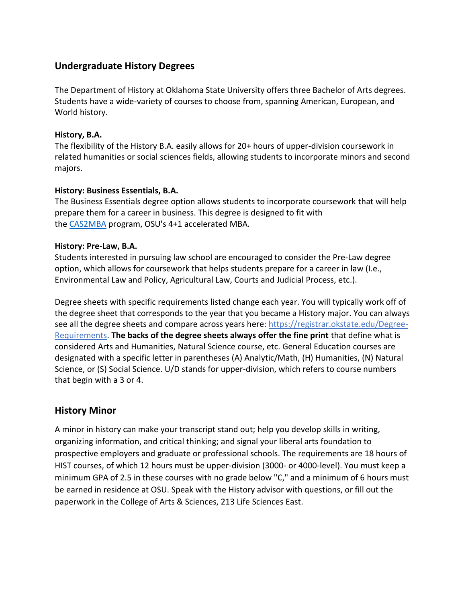## **Undergraduate History Degrees**

The Department of History at Oklahoma State University offers three Bachelor of Arts degrees. Students have a wide-variety of courses to choose from, spanning American, European, and World history.

### **History, B.A.**

The flexibility of the History B.A. easily allows for 20+ hours of upper-division coursework in related humanities or social sciences fields, allowing students to incorporate minors and second majors.

### **History: Business Essentials, B.A.**

The Business Essentials degree option allows students to incorporate coursework that will help prepare them for a career in business. This degree is designed to fit with the [CAS2MBA](https://casinfo.okstate.edu/earlymba) program, OSU's 4+1 accelerated MBA.

### **History: Pre-Law, B.A.**

Students interested in pursuing law school are encouraged to consider the Pre-Law degree option, which allows for coursework that helps students prepare for a career in law (I.e., Environmental Law and Policy, Agricultural Law, Courts and Judicial Process, etc.).

Degree sheets with specific requirements listed change each year. You will typically work off of the degree sheet that corresponds to the year that you became a History major. You can always see all the degree sheets and compare across years here: [https://registrar.okstate.edu/Degree-](https://registrar.okstate.edu/Degree-Requirements)[Requirements.](https://registrar.okstate.edu/Degree-Requirements) **The backs of the degree sheets always offer the fine print** that define what is considered Arts and Humanities, Natural Science course, etc. General Education courses are designated with a specific letter in parentheses (A) Analytic/Math, (H) Humanities, (N) Natural Science, or (S) Social Science. U/D stands for upper-division, which refers to course numbers that begin with a 3 or 4.

## **History Minor**

A minor in history can make your transcript stand out; help you develop skills in writing, organizing information, and critical thinking; and signal your liberal arts foundation to prospective employers and graduate or professional schools. The requirements are 18 hours of HIST courses, of which 12 hours must be upper-division (3000- or 4000-level). You must keep a minimum GPA of 2.5 in these courses with no grade below "C," and a minimum of 6 hours must be earned in residence at OSU. Speak with the History advisor with questions, or fill out the paperwork in the College of Arts & Sciences, 213 Life Sciences East.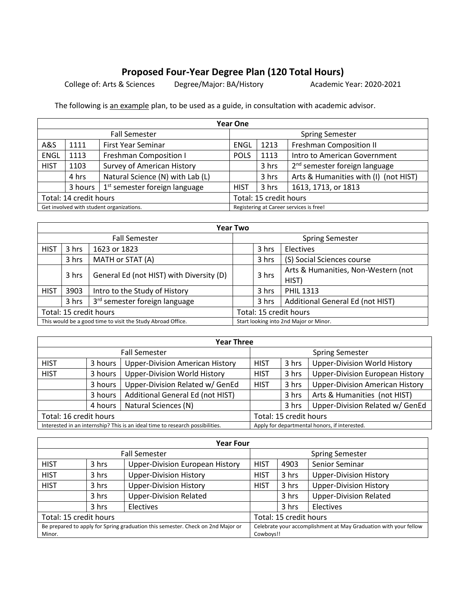# **Proposed Four-Year Degree Plan (120 Total Hours)**

College of: Arts & Sciences Degree/Major: BA/History Academic Year: 2020-2021

The following is an example plan, to be used as a guide, in consultation with academic advisor.

| Year One                                 |         |                                   |                                                    |                        |                                         |  |  |
|------------------------------------------|---------|-----------------------------------|----------------------------------------------------|------------------------|-----------------------------------------|--|--|
| <b>Fall Semester</b>                     |         |                                   |                                                    | <b>Spring Semester</b> |                                         |  |  |
| A&S                                      | 1111    | <b>First Year Seminar</b>         | <b>Freshman Composition II</b><br>1213<br>ENGL     |                        |                                         |  |  |
| <b>ENGL</b>                              | 1113    | <b>Freshman Composition I</b>     | <b>POLS</b>                                        | 1113                   | Intro to American Government            |  |  |
| <b>HIST</b>                              | 1103    | <b>Survey of American History</b> | 2 <sup>nd</sup> semester foreign language<br>3 hrs |                        |                                         |  |  |
|                                          | 4 hrs   | Natural Science (N) with Lab (L)  | Arts & Humanities with (I) (not HIST)<br>3 hrs     |                        |                                         |  |  |
|                                          | 3 hours | $1st$ semester foreign language   | 1613, 1713, or 1813<br>3 hrs<br><b>HIST</b>        |                        |                                         |  |  |
| Total: 14 credit hours                   |         | Total: 15 credit hours            |                                                    |                        |                                         |  |  |
| Get involved with student organizations. |         |                                   |                                                    |                        | Registering at Career services is free! |  |  |

| <b>Year Two</b>                                             |       |                                           |                                           |                        |                                     |  |  |
|-------------------------------------------------------------|-------|-------------------------------------------|-------------------------------------------|------------------------|-------------------------------------|--|--|
| <b>Fall Semester</b>                                        |       |                                           |                                           | <b>Spring Semester</b> |                                     |  |  |
| <b>HIST</b>                                                 | 3 hrs | 1623 or 1823                              | 3 hrs<br>Electives                        |                        |                                     |  |  |
|                                                             | 3 hrs | MATH or STAT (A)                          |                                           | 3 hrs                  | (S) Social Sciences course          |  |  |
|                                                             | 3 hrs | General Ed (not HIST) with Diversity (D)  | 3 hrs<br>HIST)                            |                        | Arts & Humanities, Non-Western (not |  |  |
| <b>HIST</b>                                                 | 3903  | Intro to the Study of History             | 3 hrs<br><b>PHIL 1313</b>                 |                        |                                     |  |  |
|                                                             | 3 hrs | 3 <sup>rd</sup> semester foreign language | Additional General Ed (not HIST)<br>3 hrs |                        |                                     |  |  |
| Total: 15 credit hours                                      |       | Total: 15 credit hours                    |                                           |                        |                                     |  |  |
| This would be a good time to visit the Study Abroad Office. |       |                                           | Start looking into 2nd Major or Minor.    |                        |                                     |  |  |

| <b>Year Three</b>                                                             |         |                                        |                                                             |                                                 |                                               |  |  |
|-------------------------------------------------------------------------------|---------|----------------------------------------|-------------------------------------------------------------|-------------------------------------------------|-----------------------------------------------|--|--|
| <b>Fall Semester</b>                                                          |         |                                        |                                                             |                                                 | <b>Spring Semester</b>                        |  |  |
| <b>HIST</b>                                                                   | 3 hours | <b>Upper-Division American History</b> | <b>Upper-Division World History</b><br>3 hrs<br><b>HIST</b> |                                                 |                                               |  |  |
| <b>HIST</b>                                                                   | 3 hours | <b>Upper-Division World History</b>    | <b>HIST</b>                                                 | <b>Upper-Division European History</b><br>3 hrs |                                               |  |  |
| Upper-Division Related w/ GenEd<br>3 hours                                    |         | <b>HIST</b>                            | 3 hrs                                                       | <b>Upper-Division American History</b>          |                                               |  |  |
| Additional General Ed (not HIST)<br>3 hours                                   |         |                                        | 3 hrs                                                       | Arts & Humanities (not HIST)                    |                                               |  |  |
| Natural Sciences (N)<br>4 hours                                               |         |                                        | 3 hrs                                                       | Upper-Division Related w/ GenEd                 |                                               |  |  |
| Total: 16 credit hours                                                        |         | Total: 15 credit hours                 |                                                             |                                                 |                                               |  |  |
| Interested in an internship? This is an ideal time to research possibilities. |         |                                        |                                                             |                                                 | Apply for departmental honors, if interested. |  |  |

| <b>Year Four</b>                                                                          |       |                                        |                                                                               |                               |                               |  |
|-------------------------------------------------------------------------------------------|-------|----------------------------------------|-------------------------------------------------------------------------------|-------------------------------|-------------------------------|--|
| <b>Fall Semester</b>                                                                      |       |                                        | <b>Spring Semester</b>                                                        |                               |                               |  |
| <b>HIST</b>                                                                               | 3 hrs | <b>Upper-Division European History</b> | Senior Seminar<br>4903<br><b>HIST</b>                                         |                               |                               |  |
| <b>HIST</b>                                                                               | 3 hrs | <b>Upper-Division History</b>          | <b>HIST</b>                                                                   | 3 hrs                         | <b>Upper-Division History</b> |  |
| <b>HIST</b>                                                                               | 3 hrs | <b>Upper-Division History</b>          | <b>Upper-Division History</b><br>3 hrs<br><b>HIST</b>                         |                               |                               |  |
| <b>Upper-Division Related</b><br>3 hrs                                                    |       |                                        | 3 hrs                                                                         | <b>Upper-Division Related</b> |                               |  |
|                                                                                           | 3 hrs | Electives                              |                                                                               | 3 hrs                         | Electives                     |  |
| Total: 15 credit hours                                                                    |       |                                        | Total: 15 credit hours                                                        |                               |                               |  |
| Be prepared to apply for Spring graduation this semester. Check on 2nd Major or<br>Minor. |       |                                        | Celebrate your accomplishment at May Graduation with your fellow<br>Cowboys!! |                               |                               |  |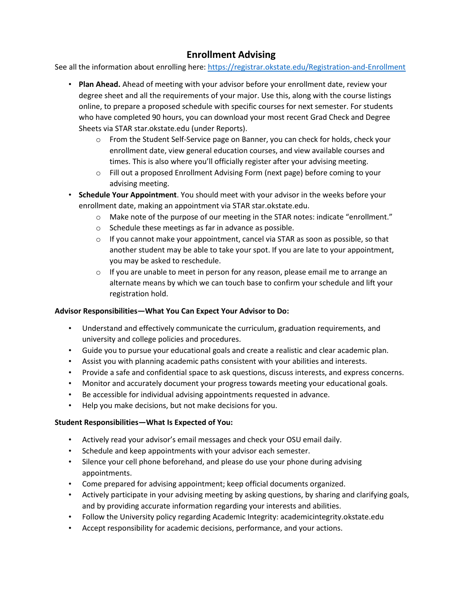# **Enrollment Advising**

See all the information about enrolling here:<https://registrar.okstate.edu/Registration-and-Enrollment>

- **Plan Ahead.** Ahead of meeting with your advisor before your enrollment date, review your degree sheet and all the requirements of your major. Use this, along with the course listings online, to prepare a proposed schedule with specific courses for next semester. For students who have completed 90 hours, you can download your most recent Grad Check and Degree Sheets via STAR star.okstate.edu (under Reports).
	- o From the Student Self-Service page on Banner, you can check for holds, check your enrollment date, view general education courses, and view available courses and times. This is also where you'll officially register after your advising meeting.
	- o Fill out a proposed Enrollment Advising Form (next page) before coming to your advising meeting.
- **Schedule Your Appointment**. You should meet with your advisor in the weeks before your enrollment date, making an appointment via STAR star.okstate.edu.
	- o Make note of the purpose of our meeting in the STAR notes: indicate "enrollment."
	- o Schedule these meetings as far in advance as possible.
	- $\circ$  If you cannot make your appointment, cancel via STAR as soon as possible, so that another student may be able to take your spot. If you are late to your appointment, you may be asked to reschedule.
	- $\circ$  If you are unable to meet in person for any reason, please email me to arrange an alternate means by which we can touch base to confirm your schedule and lift your registration hold.

#### **Advisor Responsibilities—What You Can Expect Your Advisor to Do:**

- Understand and effectively communicate the curriculum, graduation requirements, and university and college policies and procedures.
- Guide you to pursue your educational goals and create a realistic and clear academic plan.
- Assist you with planning academic paths consistent with your abilities and interests.
- Provide a safe and confidential space to ask questions, discuss interests, and express concerns.
- Monitor and accurately document your progress towards meeting your educational goals.
- Be accessible for individual advising appointments requested in advance.
- Help you make decisions, but not make decisions for you.

#### **Student Responsibilities—What Is Expected of You:**

- Actively read your advisor's email messages and check your OSU email daily.
- Schedule and keep appointments with your advisor each semester.
- Silence your cell phone beforehand, and please do use your phone during advising appointments.
- Come prepared for advising appointment; keep official documents organized.
- Actively participate in your advising meeting by asking questions, by sharing and clarifying goals, and by providing accurate information regarding your interests and abilities.
- Follow the University policy regarding Academic Integrity: academicintegrity.okstate.edu
- Accept responsibility for academic decisions, performance, and your actions.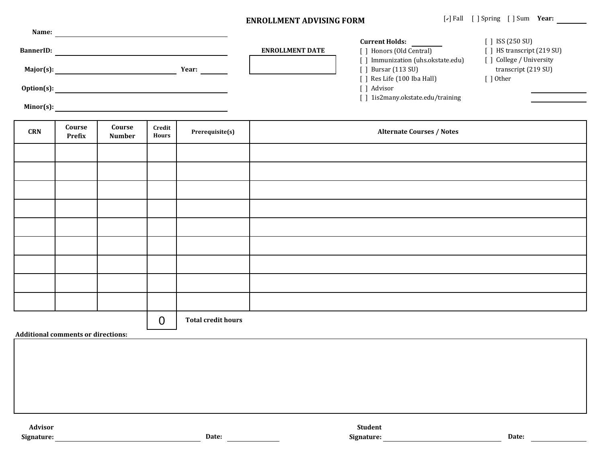#### **ENROLLMENT ADVISING FORM**

| Name:            |              |                        |                                    |                            |
|------------------|--------------|------------------------|------------------------------------|----------------------------|
|                  |              |                        | <b>Current Holds:</b>              | $\int$ ISS (250 SU)        |
| <b>BannerID:</b> |              | <b>ENROLLMENT DATE</b> | ] Honors (Old Central)             | [ ] HS transcript (219 SU) |
|                  |              |                        | Immunization (uhs.okstate.edu)     | ] College / University     |
| Major(s):        | <b>Year:</b> |                        | <b>Bursar</b> (113 SU)             | transcript (219 SU)        |
|                  |              |                        | Res Life (100 Iba Hall)            | 1 Other                    |
| $Option(s)$ :    |              |                        | Advisor                            |                            |
|                  |              |                        | 1 1 is 2 many okstate edu/training |                            |

**Minor(s):**

| CRN | Course<br>Prefix | Course<br><b>Number</b> | Credit<br>Hours | Prerequisite(s)           | <b>Alternate Courses / Notes</b> |
|-----|------------------|-------------------------|-----------------|---------------------------|----------------------------------|
|     |                  |                         |                 |                           |                                  |
|     |                  |                         |                 |                           |                                  |
|     |                  |                         |                 |                           |                                  |
|     |                  |                         |                 |                           |                                  |
|     |                  |                         |                 |                           |                                  |
|     |                  |                         |                 |                           |                                  |
|     |                  |                         |                 |                           |                                  |
|     |                  |                         |                 |                           |                                  |
|     |                  |                         |                 |                           |                                  |
|     |                  |                         | $\overline{0}$  | <b>Total credit hours</b> |                                  |

**Additional comments or directions:**

| Advisor |       | <b>Student</b> |
|---------|-------|----------------|
| mature: | Date: | Signature:     |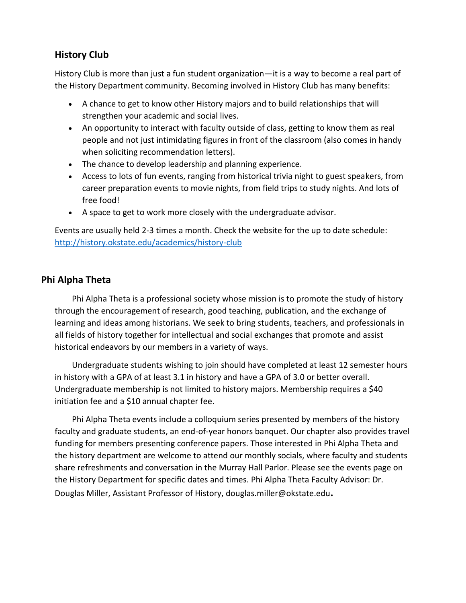# **History Club**

History Club is more than just a fun student organization—it is a way to become a real part of the History Department community. Becoming involved in History Club has many benefits:

- A chance to get to know other History majors and to build relationships that will strengthen your academic and social lives.
- An opportunity to interact with faculty outside of class, getting to know them as real people and not just intimidating figures in front of the classroom (also comes in handy when soliciting recommendation letters).
- The chance to develop leadership and planning experience.
- Access to lots of fun events, ranging from historical trivia night to guest speakers, from career preparation events to movie nights, from field trips to study nights. And lots of free food!
- A space to get to work more closely with the undergraduate advisor.

Events are usually held 2-3 times a month. Check the website for the up to date schedule: <http://history.okstate.edu/academics/history-club>

# **Phi Alpha Theta**

Phi Alpha Theta is a professional society whose mission is to promote the study of history through the encouragement of research, good teaching, publication, and the exchange of learning and ideas among historians. We seek to bring students, teachers, and professionals in all fields of history together for intellectual and social exchanges that promote and assist historical endeavors by our members in a variety of ways.

Undergraduate students wishing to join should have completed at least 12 semester hours in history with a GPA of at least 3.1 in history and have a GPA of 3.0 or better overall. Undergraduate membership is not limited to history majors. Membership requires a \$40 initiation fee and a \$10 annual chapter fee.

Phi Alpha Theta events include a colloquium series presented by members of the history faculty and graduate students, an end-of-year honors banquet. Our chapter also provides travel funding for members presenting conference papers. Those interested in Phi Alpha Theta and the history department are welcome to attend our monthly socials, where faculty and students share refreshments and conversation in the Murray Hall Parlor. Please see the events page on the History Department for specific dates and times. Phi Alpha Theta Faculty Advisor: Dr. Douglas Miller, Assistant Professor of History, douglas.miller@okstate.edu**.**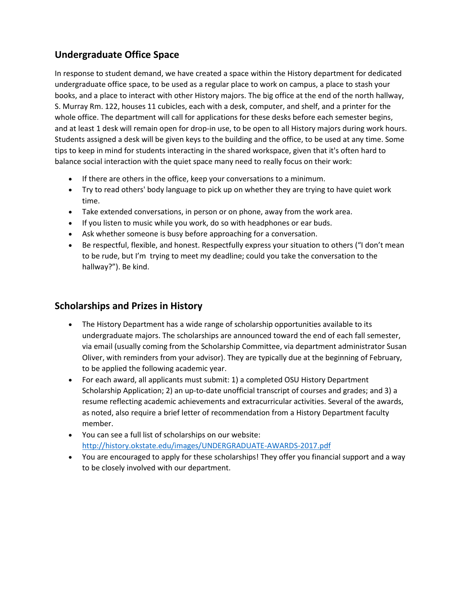# **Undergraduate Office Space**

In response to student demand, we have created a space within the History department for dedicated undergraduate office space, to be used as a regular place to work on campus, a place to stash your books, and a place to interact with other History majors. The big office at the end of the north hallway, S. Murray Rm. 122, houses 11 cubicles, each with a desk, computer, and shelf, and a printer for the whole office. The department will call for applications for these desks before each semester begins, and at least 1 desk will remain open for drop-in use, to be open to all History majors during work hours. Students assigned a desk will be given keys to the building and the office, to be used at any time. Some tips to keep in mind for students interacting in the shared workspace, given that it's often hard to balance social interaction with the quiet space many need to really focus on their work:

- If there are others in the office, keep your conversations to a minimum.
- Try to read others' body language to pick up on whether they are trying to have quiet work time.
- Take extended conversations, in person or on phone, away from the work area.
- If you listen to music while you work, do so with headphones or ear buds.
- Ask whether someone is busy before approaching for a conversation.
- Be respectful, flexible, and honest. Respectfully express your situation to others ("I don't mean to be rude, but I'm trying to meet my deadline; could you take the conversation to the hallway?"). Be kind.

# **Scholarships and Prizes in History**

- The History Department has a wide range of scholarship opportunities available to its undergraduate majors. The scholarships are announced toward the end of each fall semester, via email (usually coming from the Scholarship Committee, via department administrator Susan Oliver, with reminders from your advisor). They are typically due at the beginning of February, to be applied the following academic year.
- For each award, all applicants must submit: 1) a completed OSU History Department Scholarship Application; 2) an up-to-date unofficial transcript of courses and grades; and 3) a resume reflecting academic achievements and extracurricular activities. Several of the awards, as noted, also require a brief letter of recommendation from a History Department faculty member.
- You can see a full list of scholarships on our website: <http://history.okstate.edu/images/UNDERGRADUATE-AWARDS-2017.pdf>
- You are encouraged to apply for these scholarships! They offer you financial support and a way to be closely involved with our department.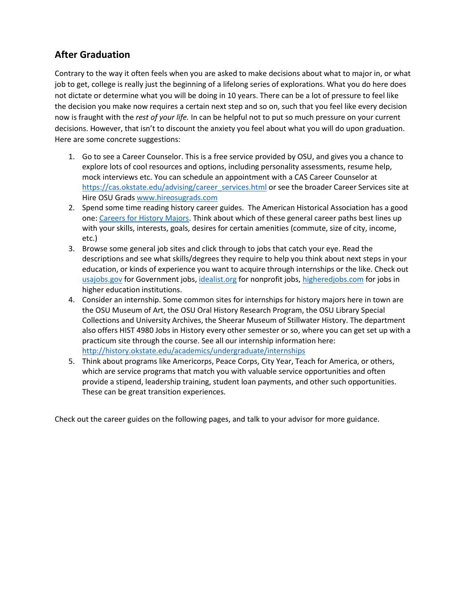# **After Graduation**

Contrary to the way it often feels when you are asked to make decisions about what to major in, or what job to get, college is really just the beginning of a lifelong series of explorations. What you do here does not dictate or determine what you will be doing in 10 years. There can be a lot of pressure to feel like the decision you make now requires a certain next step and so on, such that you feel like every decision now is fraught with the *rest of your life.* In can be helpful not to put so much pressure on your current decisions. However, that isn't to discount the anxiety you feel about what you will do upon graduation. Here are some concrete suggestions:

- 1. Go to see a Career Counselor. This is a free service provided by OSU, and gives you a chance to explore lots of cool resources and options, including personality assessments, resume help, mock interviews etc. You can schedule an appointment with a CAS Career Counselor at [https://cas.okstate.edu/advising/career\\_services.html](https://cas.okstate.edu/advising/career_services.html) or see the broader Career Services site at Hire OSU Grad[s www.hireosugrads.com](http://www.hireosugrads.com/)
- 2. Spend some time reading history career guides. The American Historical Association has a good one[: Careers for History Majors.](https://www.historians.org/jobs-and-professional-development/career-resources/careers-for-history-majors) Think about which of these general career paths best lines up with your skills, interests, goals, desires for certain amenities (commute, size of city, income, etc.)
- 3. Browse some general job sites and click through to jobs that catch your eye. Read the descriptions and see what skills/degrees they require to help you think about next steps in your education, or kinds of experience you want to acquire through internships or the like. Check out [usajobs.gov](https://www.usajobs.gov/) for Government jobs, [idealist.org](https://www.idealist.org/en/?sort=relevance&type=ALL) for nonprofit jobs[, higheredjobs.com](https://www.higheredjobs.com/) for jobs in higher education institutions.
- 4. Consider an internship. Some common sites for internships for history majors here in town are the OSU Museum of Art, the OSU Oral History Research Program, the OSU Library Special Collections and University Archives, the Sheerar Museum of Stillwater History. The department also offers HIST 4980 Jobs in History every other semester or so, where you can get set up with a practicum site through the course. See all our internship information here: <http://history.okstate.edu/academics/undergraduate/internships>
- 5. Think about programs like Americorps, Peace Corps, City Year, Teach for America, or others, which are service programs that match you with valuable service opportunities and often provide a stipend, leadership training, student loan payments, and other such opportunities. These can be great transition experiences.

Check out the career guides on the following pages, and talk to your advisor for more guidance.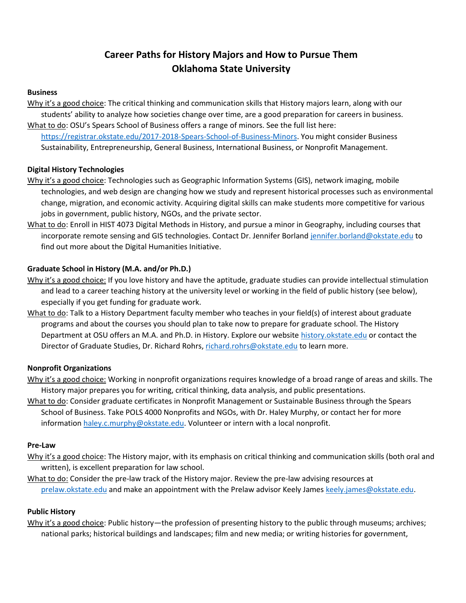# **Career Paths for History Majors and How to Pursue Them Oklahoma State University**

#### **Business**

Why it's a good choice: The critical thinking and communication skills that History majors learn, along with our students' ability to analyze how societies change over time, are a good preparation for careers in business. What to do: OSU's Spears School of Business offers a range of minors. See the full list here:

[https://registrar.okstate.edu/2017-2018-Spears-School-of-Business-Minors.](https://registrar.okstate.edu/2017-2018-Spears-School-of-Business-Minors) You might consider Business Sustainability, Entrepreneurship, General Business, International Business, or Nonprofit Management.

#### **Digital History Technologies**

- Why it's a good choice: Technologies such as Geographic Information Systems (GIS), network imaging, mobile technologies, and web design are changing how we study and represent historical processes such as environmental change, migration, and economic activity. Acquiring digital skills can make students more competitive for various jobs in government, public history, NGOs, and the private sector.
- What to do: Enroll in HIST 4073 Digital Methods in History, and pursue a minor in Geography, including courses that incorporate remote sensing and GIS technologies. Contact Dr. Jennifer Borland [jennifer.borland@okstate.edu](mailto:jennifer.borland@okstate.edu) to find out more about the Digital Humanities Initiative.

#### **Graduate School in History (M.A. and/or Ph.D.)**

- Why it's a good choice: If you love history and have the aptitude, graduate studies can provide intellectual stimulation and lead to a career teaching history at the university level or working in the field of public history (see below), especially if you get funding for graduate work.
- What to do: Talk to a History Department faculty member who teaches in your field(s) of interest about graduate programs and about the courses you should plan to take now to prepare for graduate school. The History Department at OSU offers an M.A. and Ph.D. in History. Explore our website [history.okstate.edu](https://ostatemailokstate-my.sharepoint.com/personal/sarah_mutschelknaus_okstate_edu/Documents/ADVISING/1%20%20%20HISTORY/Zeide%20other%20info%20and%20docs/history.okstate.edu) or contact the Director of Graduate Studies, Dr. Richard Rohrs, [richard.rohrs@okstate.edu](mailto:richard.rohrs@okstate.edu) to learn more.

#### **Nonprofit Organizations**

- Why it's a good choice: Working in nonprofit organizations requires knowledge of a broad range of areas and skills. The History major prepares you for writing, critical thinking, data analysis, and public presentations.
- What to do: Consider graduate certificates in Nonprofit Management or Sustainable Business through the Spears School of Business. Take POLS 4000 Nonprofits and NGOs, with Dr. Haley Murphy, or contact her for more informatio[n haley.c.murphy@okstate.edu.](mailto:haley.c.murphy@okstate.edu) Volunteer or intern with a local nonprofit.

#### **Pre-Law**

- Why it's a good choice: The History major, with its emphasis on critical thinking and communication skills (both oral and written), is excellent preparation for law school.
- What to do: Consider the pre-law track of the History major. Review the pre-law advising resources at [prelaw.okstate.edu](https://ostatemailokstate-my.sharepoint.com/personal/sarah_mutschelknaus_okstate_edu/Documents/ADVISING/1%20%20%20HISTORY/Zeide%20other%20info%20and%20docs/prelaw.okstate.edu) and make an appointment with the Prelaw advisor Keely James [keely.james@okstate.edu.](mailto:keely.james@okstate.edu)

#### **Public History**

Why it's a good choice: Public history—the profession of presenting history to the public through museums; archives; national parks; historical buildings and landscapes; film and new media; or writing histories for government,